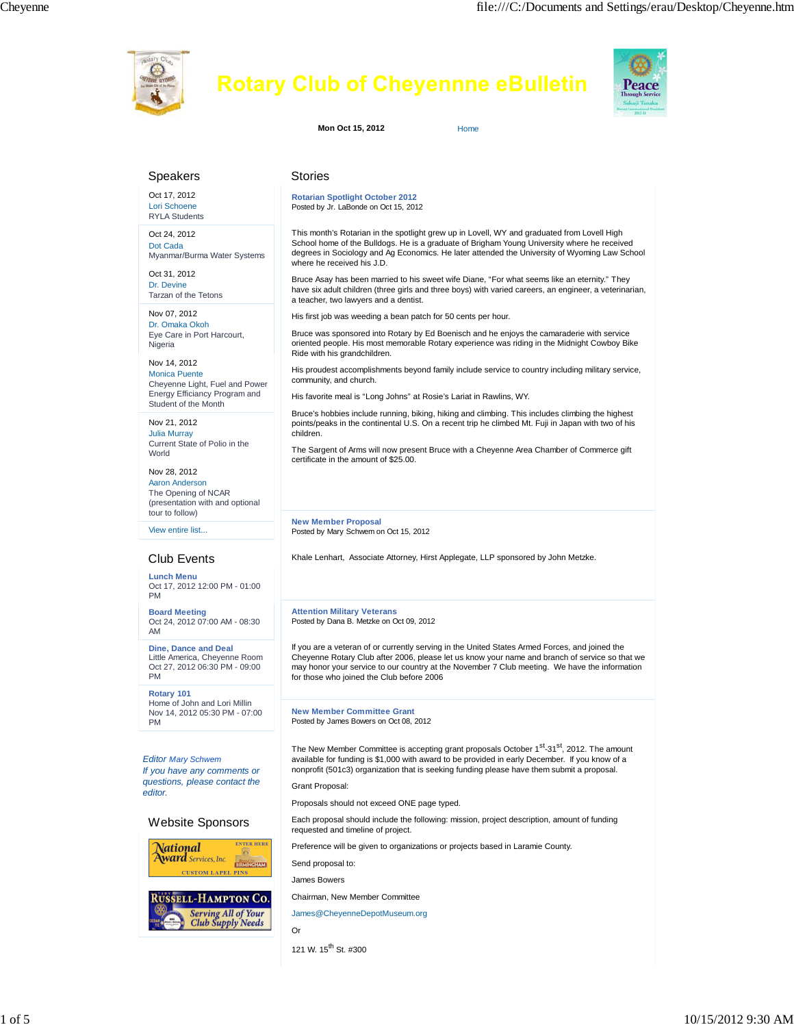

| Speakers                                                                                                                        | <b>Stories</b>                                                                                                                                                                                                                                                                                                                                                                       |
|---------------------------------------------------------------------------------------------------------------------------------|--------------------------------------------------------------------------------------------------------------------------------------------------------------------------------------------------------------------------------------------------------------------------------------------------------------------------------------------------------------------------------------|
| Oct 17, 2012<br>Lori Schoene<br><b>RYLA Students</b>                                                                            | <b>Rotarian Spotlight October 2012</b><br>Posted by Jr. LaBonde on Oct 15, 2012                                                                                                                                                                                                                                                                                                      |
| Oct 24, 2012<br>Dot Cada<br>Myanmar/Burma Water Systems                                                                         | This month's Rotarian in the spotlight grew up in Lovell, WY and graduated from Lovell High<br>School home of the Bulldogs. He is a graduate of Brigham Young University where he received<br>degrees in Sociology and Ag Economics. He later attended the University of Wyoming Law School<br>where he received his J.D.                                                            |
| Oct 31, 2012<br>Dr. Devine<br>Tarzan of the Tetons                                                                              | Bruce Asay has been married to his sweet wife Diane, "For what seems like an eternity." They<br>have six adult children (three girls and three boys) with varied careers, an engineer, a veterinarian,<br>a teacher, two lawyers and a dentist.                                                                                                                                      |
| Nov 07, 2012<br>Dr. Omaka Okoh<br>Eye Care in Port Harcourt,<br>Nigeria                                                         | His first job was weeding a bean patch for 50 cents per hour.<br>Bruce was sponsored into Rotary by Ed Boenisch and he enjoys the camaraderie with service<br>oriented people. His most memorable Rotary experience was riding in the Midnight Cowboy Bike<br>Ride with his grandchildren.                                                                                           |
| Nov 14, 2012<br><b>Monica Puente</b><br>Cheyenne Light, Fuel and Power<br>Energy Efficiancy Program and<br>Student of the Month | His proudest accomplishments beyond family include service to country including military service,<br>community, and church.<br>His favorite meal is "Long Johns" at Rosie's Lariat in Rawlins, WY.                                                                                                                                                                                   |
| Nov 21, 2012<br><b>Julia Murray</b><br>Current State of Polio in the<br>World                                                   | Bruce's hobbies include running, biking, hiking and climbing. This includes climbing the highest<br>points/peaks in the continental U.S. On a recent trip he climbed Mt. Fuji in Japan with two of his<br>children.<br>The Sargent of Arms will now present Bruce with a Cheyenne Area Chamber of Commerce gift                                                                      |
| Nov 28, 2012<br><b>Aaron Anderson</b><br>The Opening of NCAR<br>(presentation with and optional<br>tour to follow)              | certificate in the amount of \$25.00.                                                                                                                                                                                                                                                                                                                                                |
| View entire list                                                                                                                | <b>New Member Proposal</b><br>Posted by Mary Schwem on Oct 15, 2012                                                                                                                                                                                                                                                                                                                  |
|                                                                                                                                 |                                                                                                                                                                                                                                                                                                                                                                                      |
|                                                                                                                                 |                                                                                                                                                                                                                                                                                                                                                                                      |
| Club Events<br><b>Lunch Menu</b><br>Oct 17, 2012 12:00 PM - 01:00<br><b>PM</b>                                                  | Khale Lenhart, Associate Attorney, Hirst Applegate, LLP sponsored by John Metzke.                                                                                                                                                                                                                                                                                                    |
| <b>Board Meeting</b><br>Oct 24, 2012 07:00 AM - 08:30<br>AM                                                                     | <b>Attention Military Veterans</b><br>Posted by Dana B. Metzke on Oct 09, 2012                                                                                                                                                                                                                                                                                                       |
| Dine, Dance and Deal<br>Little America, Cheyenne Room<br>Oct 27, 2012 06:30 PM - 09:00<br><b>PM</b>                             | If you are a veteran of or currently serving in the United States Armed Forces, and joined the<br>Cheyenne Rotary Club after 2006, please let us know your name and branch of service so that we<br>may honor your service to our country at the November 7 Club meeting. We have the information<br>for those who joined the Club before 2006                                       |
| Rotary 101<br>Home of John and Lori Millin<br>Nov 14, 2012 05:30 PM - 07:00<br><b>PM</b>                                        | <b>New Member Committee Grant</b><br>Posted by James Bowers on Oct 08, 2012                                                                                                                                                                                                                                                                                                          |
| <b>Editor Mary Schwem</b><br>If you have any comments or<br>questions, please contact the<br>editor.                            | The New Member Committee is accepting grant proposals October 1 <sup>st</sup> -31 <sup>st</sup> , 2012. The amount<br>available for funding is \$1,000 with award to be provided in early December. If you know of a<br>nonprofit (501c3) organization that is seeking funding please have them submit a proposal.<br>Grant Proposal:<br>Proposals should not exceed ONE page typed. |
| <b>Website Sponsors</b>                                                                                                         | Each proposal should include the following: mission, project description, amount of funding                                                                                                                                                                                                                                                                                          |
| <b>ENTER HERE</b><br>National<br><b>Award</b> Services, Inc.<br><b>BIRMINGHAM</b><br><b>CUSTOM LAPEL PINS</b>                   | requested and timeline of project.<br>Preference will be given to organizations or projects based in Laramie County.<br>Send proposal to:<br>James Bowers                                                                                                                                                                                                                            |

Or

121 W.  $15^{th}$  St. #300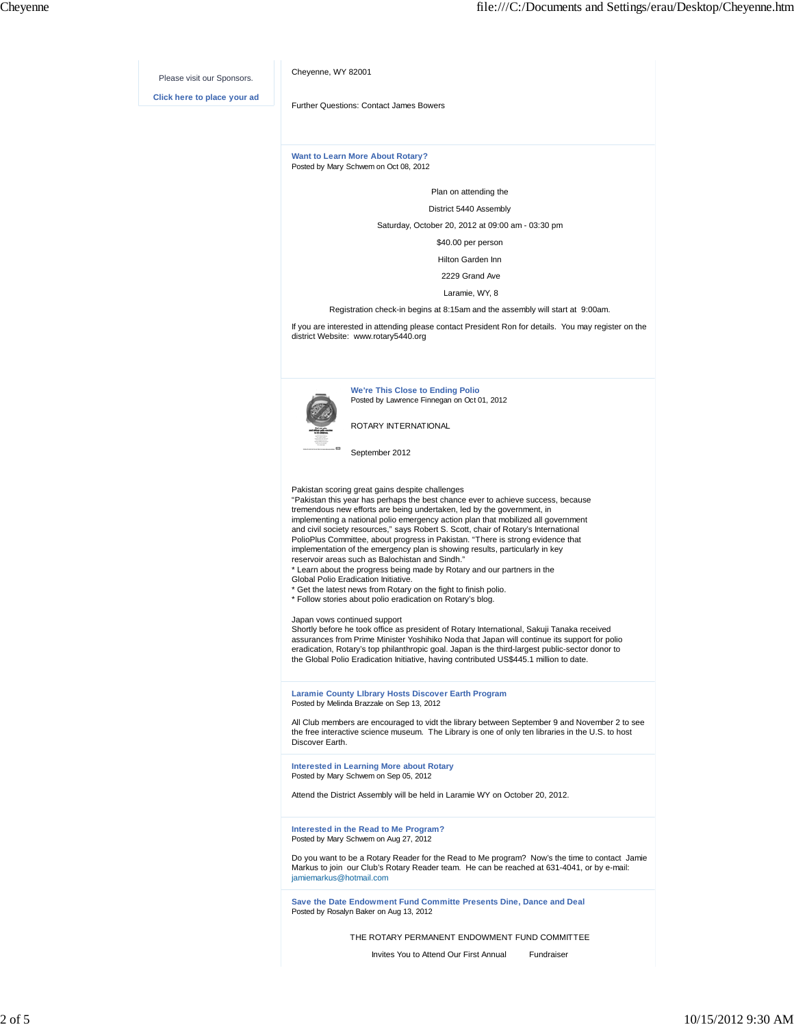

Invites You to Attend Our First Annual Fundraiser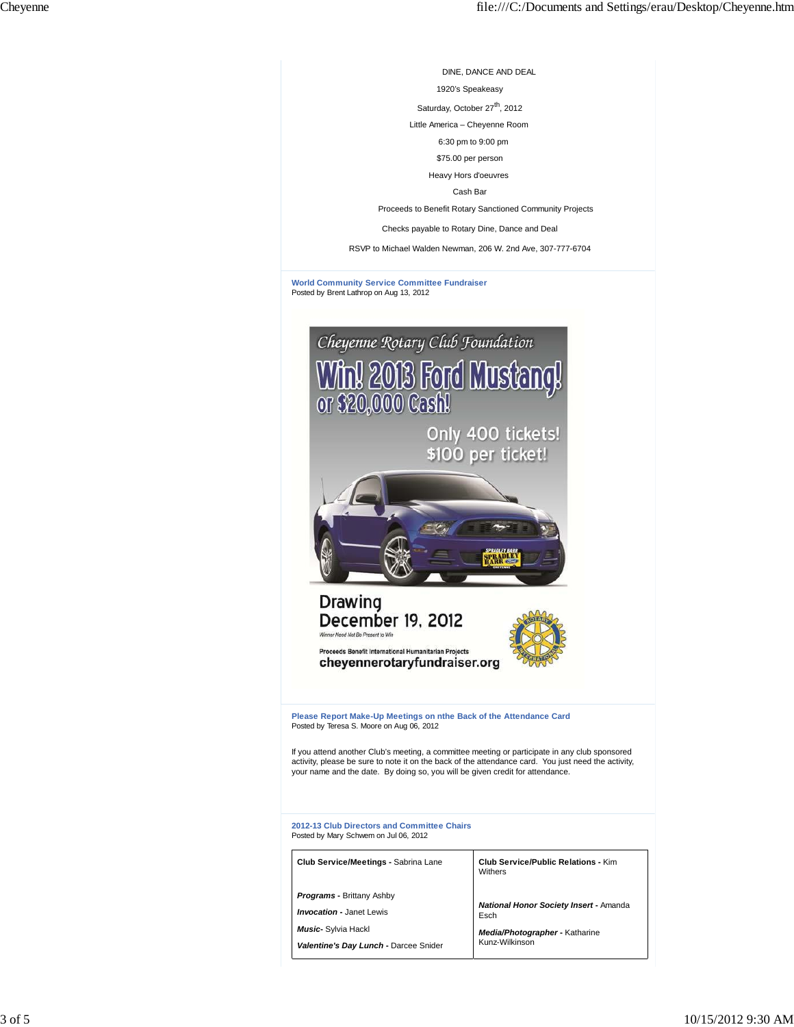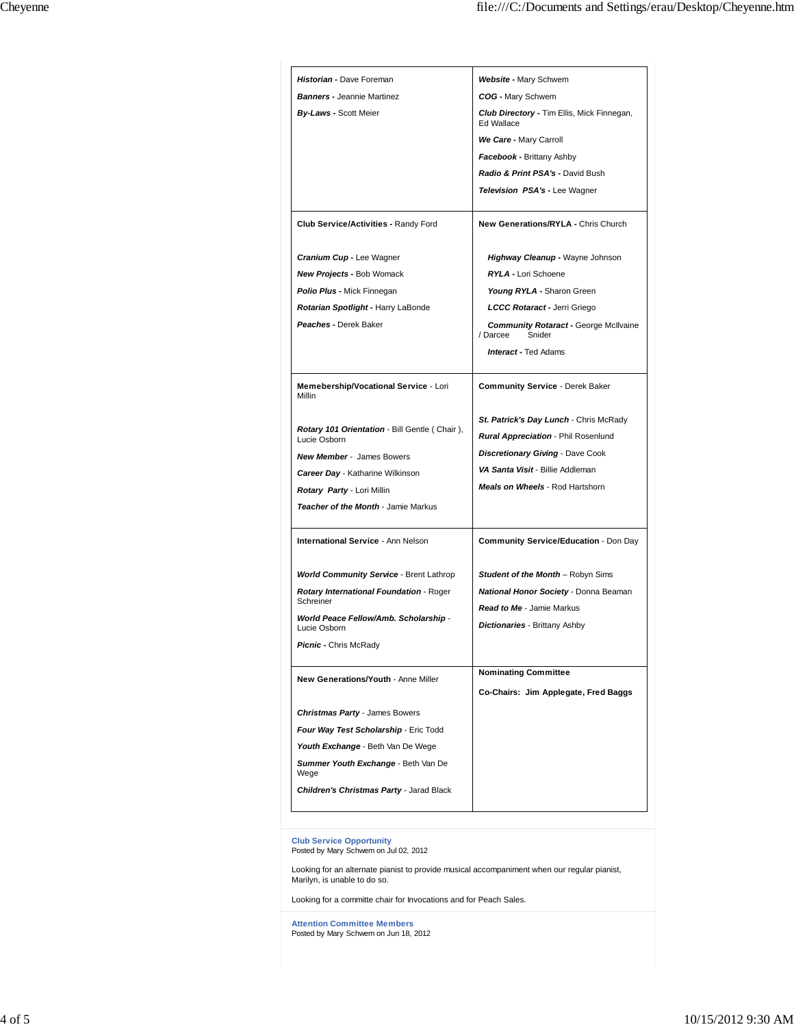| Historian - Dave Foreman                                      | <b>Website - Mary Schwem</b>                                       |
|---------------------------------------------------------------|--------------------------------------------------------------------|
| <b>Banners - Jeannie Martinez</b>                             | COG - Mary Schwem                                                  |
| <b>By-Laws - Scott Meier</b>                                  | Club Directory - Tim Ellis, Mick Finnegan,<br>Ed Wallace           |
|                                                               | We Care - Mary Carroll                                             |
|                                                               | <b>Facebook - Brittany Ashby</b>                                   |
|                                                               | Radio & Print PSA's - David Bush                                   |
|                                                               | <b>Television PSA's - Lee Wagner</b>                               |
| <b>Club Service/Activities - Randy Ford</b>                   | New Generations/RYLA - Chris Church                                |
| Cranium Cup - Lee Wagner                                      | <b>Highway Cleanup - Wayne Johnson</b>                             |
| <b>New Projects - Bob Womack</b>                              | RYLA - Lori Schoene                                                |
| <b>Polio Plus - Mick Finnegan</b>                             | Young RYLA - Sharon Green                                          |
| Rotarian Spotlight - Harry LaBonde                            | LCCC Rotaract - Jerri Griego                                       |
| Peaches - Derek Baker                                         | <b>Community Rotaract - George McIlvaine</b><br>Snider<br>/ Darcee |
|                                                               | <b>Interact - Ted Adams</b>                                        |
| Memebership/Vocational Service - Lori<br>Millin               | <b>Community Service - Derek Baker</b>                             |
|                                                               | St. Patrick's Day Lunch - Chris McRady                             |
| Rotary 101 Orientation - Bill Gentle (Chair),<br>Lucie Osborn | Rural Appreciation - Phil Rosenlund                                |
| <b>New Member</b> - James Bowers                              | <b>Discretionary Giving - Dave Cook</b>                            |
| Career Day - Katharine Wilkinson                              | VA Santa Visit - Billie Addleman                                   |
| Rotary Party - Lori Millin                                    | Meals on Wheels - Rod Hartshorn                                    |
| Teacher of the Month - Jamie Markus                           |                                                                    |
| International Service - Ann Nelson                            | <b>Community Service/Education - Don Day</b>                       |
| <b>World Community Service - Brent Lathrop</b>                | <b>Student of the Month</b> - Robyn Sims                           |
| Rotary International Foundation - Roger                       | <b>National Honor Society - Donna Beaman</b>                       |
| Schreiner                                                     | <b>Read to Me - Jamie Markus</b>                                   |
| World Peace Fellow/Amb. Scholarship -<br>Lucie Osborn         | <b>Dictionaries - Brittany Ashby</b>                               |
| Picnic - Chris McRady                                         |                                                                    |
|                                                               | <b>Nominating Committee</b>                                        |
| New Generations/Youth - Anne Miller                           | Co-Chairs: Jim Applegate, Fred Baggs                               |
|                                                               |                                                                    |
| <b>Christmas Party - James Bowers</b>                         |                                                                    |
| Four Way Test Scholarship - Eric Todd                         |                                                                    |
| Youth Exchange - Beth Van De Wege                             |                                                                    |
| Summer Youth Exchange - Beth Van De<br>Wege                   |                                                                    |
|                                                               |                                                                    |
| <b>Children's Christmas Party - Jarad Black</b>               |                                                                    |
|                                                               |                                                                    |

Looking for a committe chair for Invocations and for Peach Sales.

**Attention Committee Members** Posted by Mary Schwem on Jun 18, 2012